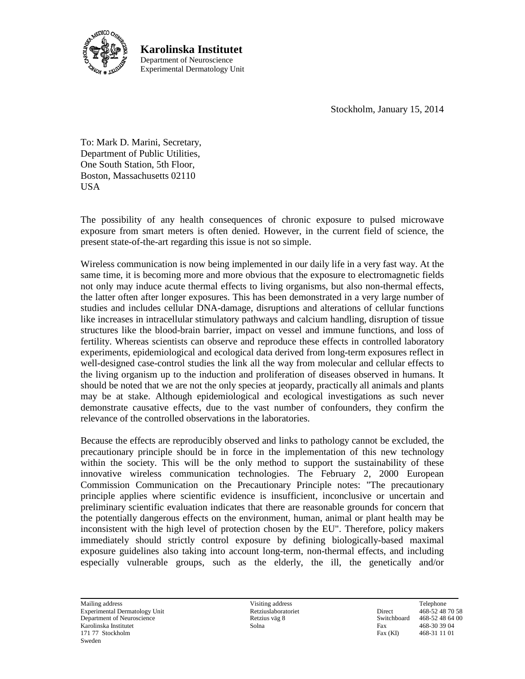

Stockholm, January 15, 2014

To: Mark D. Marini, Secretary, Department of Public Utilities, One South Station, 5th Floor, Boston, Massachusetts 02110 **USA** 

The possibility of any health consequences of chronic exposure to pulsed microwave exposure from smart meters is often denied. However, in the current field of science, the present state-of-the-art regarding this issue is not so simple.

Wireless communication is now being implemented in our daily life in a very fast way. At the same time, it is becoming more and more obvious that the exposure to electromagnetic fields not only may induce acute thermal effects to living organisms, but also non-thermal effects, the latter often after longer exposures. This has been demonstrated in a very large number of studies and includes cellular DNA-damage, disruptions and alterations of cellular functions like increases in intracellular stimulatory pathways and calcium handling, disruption of tissue structures like the blood-brain barrier, impact on vessel and immune functions, and loss of fertility. Whereas scientists can observe and reproduce these effects in controlled laboratory experiments, epidemiological and ecological data derived from long-term exposures reflect in well-designed case-control studies the link all the way from molecular and cellular effects to the living organism up to the induction and proliferation of diseases observed in humans. It should be noted that we are not the only species at jeopardy, practically all animals and plants may be at stake. Although epidemiological and ecological investigations as such never demonstrate causative effects, due to the vast number of confounders, they confirm the relevance of the controlled observations in the laboratories.

Because the effects are reproducibly observed and links to pathology cannot be excluded, the precautionary principle should be in force in the implementation of this new technology within the society. This will be the only method to support the sustainability of these innovative wireless communication technologies. The February 2, 2000 European Commission Communication on the Precautionary Principle notes: "The precautionary principle applies where scientific evidence is insufficient, inconclusive or uncertain and preliminary scientific evaluation indicates that there are reasonable grounds for concern that the potentially dangerous effects on the environment, human, animal or plant health may be inconsistent with the high level of protection chosen by the EU". Therefore, policy makers immediately should strictly control exposure by defining biologically-based maximal exposure guidelines also taking into account long-term, non-thermal effects, and including especially vulnerable groups, such as the elderly, the ill, the genetically and/or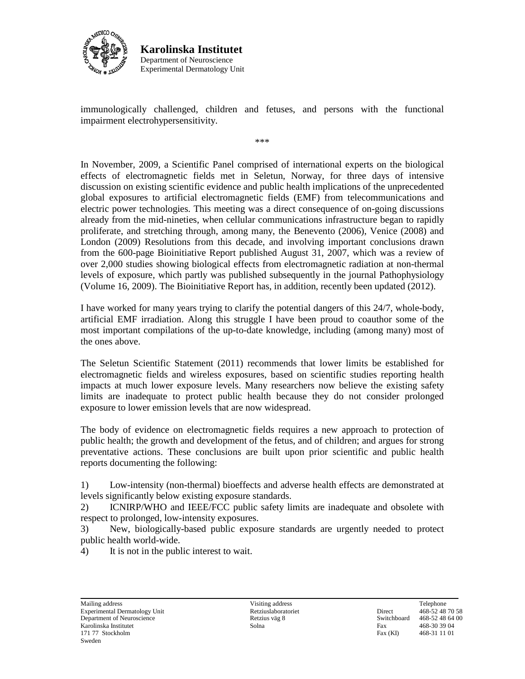

immunologically challenged, children and fetuses, and persons with the functional impairment electrohypersensitivity.

\*\*\*

In November, 2009, a Scientific Panel comprised of international experts on the biological effects of electromagnetic fields met in Seletun, Norway, for three days of intensive discussion on existing scientific evidence and public health implications of the unprecedented global exposures to artificial electromagnetic fields (EMF) from telecommunications and electric power technologies. This meeting was a direct consequence of on-going discussions already from the mid-nineties, when cellular communications infrastructure began to rapidly proliferate, and stretching through, among many, the Benevento (2006), Venice (2008) and London (2009) Resolutions from this decade, and involving important conclusions drawn from the 600-page Bioinitiative Report published August 31, 2007, which was a review of over 2,000 studies showing biological effects from electromagnetic radiation at non-thermal levels of exposure, which partly was published subsequently in the journal Pathophysiology (Volume 16, 2009). The Bioinitiative Report has, in addition, recently been updated (2012).

I have worked for many years trying to clarify the potential dangers of this 24/7, whole-body, artificial EMF irradiation. Along this struggle I have been proud to coauthor some of the most important compilations of the up-to-date knowledge, including (among many) most of the ones above.

The Seletun Scientific Statement (2011) recommends that lower limits be established for electromagnetic fields and wireless exposures, based on scientific studies reporting health impacts at much lower exposure levels. Many researchers now believe the existing safety limits are inadequate to protect public health because they do not consider prolonged exposure to lower emission levels that are now widespread.

The body of evidence on electromagnetic fields requires a new approach to protection of public health; the growth and development of the fetus, and of children; and argues for strong preventative actions. These conclusions are built upon prior scientific and public health reports documenting the following:

1) Low-intensity (non-thermal) bioeffects and adverse health effects are demonstrated at levels significantly below existing exposure standards.

2) ICNIRP/WHO and IEEE/FCC public safety limits are inadequate and obsolete with respect to prolonged, low-intensity exposures.

3) New, biologically-based public exposure standards are urgently needed to protect public health world-wide.

4) It is not in the public interest to wait.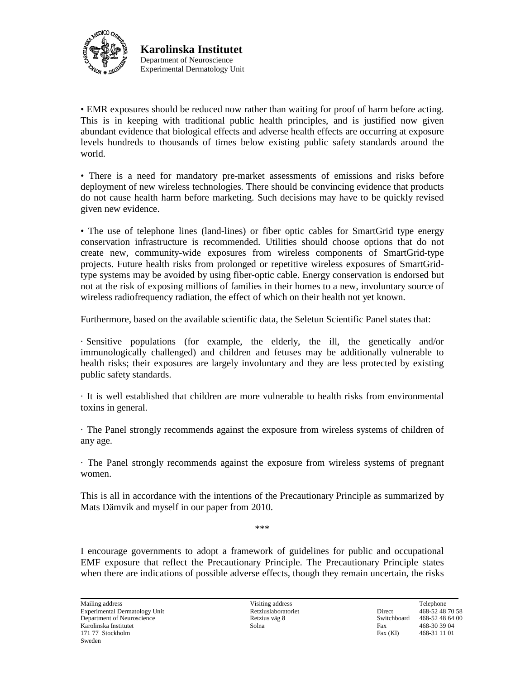

• EMR exposures should be reduced now rather than waiting for proof of harm before acting. This is in keeping with traditional public health principles, and is justified now given abundant evidence that biological effects and adverse health effects are occurring at exposure levels hundreds to thousands of times below existing public safety standards around the world.

• There is a need for mandatory pre-market assessments of emissions and risks before deployment of new wireless technologies. There should be convincing evidence that products do not cause health harm before marketing. Such decisions may have to be quickly revised given new evidence.

• The use of telephone lines (land-lines) or fiber optic cables for SmartGrid type energy conservation infrastructure is recommended. Utilities should choose options that do not create new, community-wide exposures from wireless components of SmartGrid-type projects. Future health risks from prolonged or repetitive wireless exposures of SmartGridtype systems may be avoided by using fiber-optic cable. Energy conservation is endorsed but not at the risk of exposing millions of families in their homes to a new, involuntary source of wireless radiofrequency radiation, the effect of which on their health not yet known.

Furthermore, based on the available scientific data, the Seletun Scientific Panel states that:

· Sensitive populations (for example, the elderly, the ill, the genetically and/or immunologically challenged) and children and fetuses may be additionally vulnerable to health risks; their exposures are largely involuntary and they are less protected by existing public safety standards.

· It is well established that children are more vulnerable to health risks from environmental toxins in general.

· The Panel strongly recommends against the exposure from wireless systems of children of any age.

· The Panel strongly recommends against the exposure from wireless systems of pregnant women.

This is all in accordance with the intentions of the Precautionary Principle as summarized by Mats Dämvik and myself in our paper from 2010.

\*\*\*

I encourage governments to adopt a framework of guidelines for public and occupational EMF exposure that reflect the Precautionary Principle. The Precautionary Principle states when there are indications of possible adverse effects, though they remain uncertain, the risks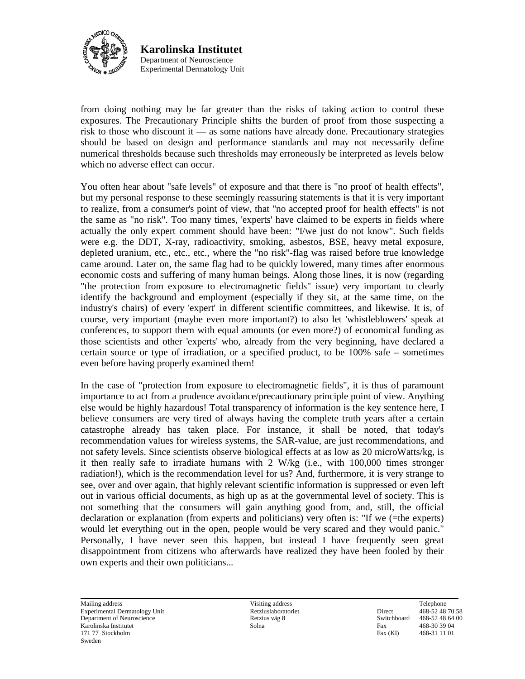

from doing nothing may be far greater than the risks of taking action to control these exposures. The Precautionary Principle shifts the burden of proof from those suspecting a risk to those who discount it — as some nations have already done. Precautionary strategies should be based on design and performance standards and may not necessarily define numerical thresholds because such thresholds may erroneously be interpreted as levels below which no adverse effect can occur.

You often hear about "safe levels" of exposure and that there is "no proof of health effects", but my personal response to these seemingly reassuring statements is that it is very important to realize, from a consumer's point of view, that "no accepted proof for health effects" is not the same as "no risk". Too many times, 'experts' have claimed to be experts in fields where actually the only expert comment should have been: "I/we just do not know". Such fields were e.g. the DDT, X-ray, radioactivity, smoking, asbestos, BSE, heavy metal exposure, depleted uranium, etc., etc., etc., where the "no risk"-flag was raised before true knowledge came around. Later on, the same flag had to be quickly lowered, many times after enormous economic costs and suffering of many human beings. Along those lines, it is now (regarding "the protection from exposure to electromagnetic fields" issue) very important to clearly identify the background and employment (especially if they sit, at the same time, on the industry's chairs) of every 'expert' in different scientific committees, and likewise. It is, of course, very important (maybe even more important?) to also let 'whistleblowers' speak at conferences, to support them with equal amounts (or even more?) of economical funding as those scientists and other 'experts' who, already from the very beginning, have declared a certain source or type of irradiation, or a specified product, to be 100% safe – sometimes even before having properly examined them!

In the case of "protection from exposure to electromagnetic fields", it is thus of paramount importance to act from a prudence avoidance/precautionary principle point of view. Anything else would be highly hazardous! Total transparency of information is the key sentence here, I believe consumers are very tired of always having the complete truth years after a certain catastrophe already has taken place. For instance, it shall be noted, that today's recommendation values for wireless systems, the SAR-value, are just recommendations, and not safety levels. Since scientists observe biological effects at as low as 20 microWatts/kg, is it then really safe to irradiate humans with  $2 \text{ W/kg}$  (i.e., with 100,000 times stronger radiation!), which is the recommendation level for us? And, furthermore, it is very strange to see, over and over again, that highly relevant scientific information is suppressed or even left out in various official documents, as high up as at the governmental level of society. This is not something that the consumers will gain anything good from, and, still, the official declaration or explanation (from experts and politicians) very often is: "If we (=the experts) would let everything out in the open, people would be very scared and they would panic." Personally, I have never seen this happen, but instead I have frequently seen great disappointment from citizens who afterwards have realized they have been fooled by their own experts and their own politicians...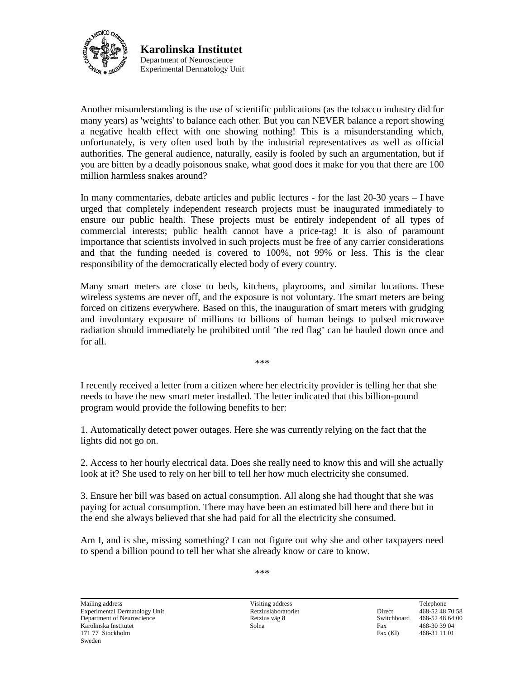

Another misunderstanding is the use of scientific publications (as the tobacco industry did for many years) as 'weights' to balance each other. But you can NEVER balance a report showing a negative health effect with one showing nothing! This is a misunderstanding which, unfortunately, is very often used both by the industrial representatives as well as official authorities. The general audience, naturally, easily is fooled by such an argumentation, but if you are bitten by a deadly poisonous snake, what good does it make for you that there are 100 million harmless snakes around?

In many commentaries, debate articles and public lectures - for the last 20-30 years – I have urged that completely independent research projects must be inaugurated immediately to ensure our public health. These projects must be entirely independent of all types of commercial interests; public health cannot have a price-tag! It is also of paramount importance that scientists involved in such projects must be free of any carrier considerations and that the funding needed is covered to 100%, not 99% or less. This is the clear responsibility of the democratically elected body of every country.

Many smart meters are close to beds, kitchens, playrooms, and similar locations. These wireless systems are never off, and the exposure is not voluntary. The smart meters are being forced on citizens everywhere. Based on this, the inauguration of smart meters with grudging and involuntary exposure of millions to billions of human beings to pulsed microwave radiation should immediately be prohibited until 'the red flag' can be hauled down once and for all.

I recently received a letter from a citizen where her electricity provider is telling her that she needs to have the new smart meter installed. The letter indicated that this billion-pound program would provide the following benefits to her:

\*\*\*

1. Automatically detect power outages. Here she was currently relying on the fact that the lights did not go on.

2. Access to her hourly electrical data. Does she really need to know this and will she actually look at it? She used to rely on her bill to tell her how much electricity she consumed.

3. Ensure her bill was based on actual consumption. All along she had thought that she was paying for actual consumption. There may have been an estimated bill here and there but in the end she always believed that she had paid for all the electricity she consumed.

Am I, and is she, missing something? I can not figure out why she and other taxpayers need to spend a billion pound to tell her what she already know or care to know.

\*\*\*